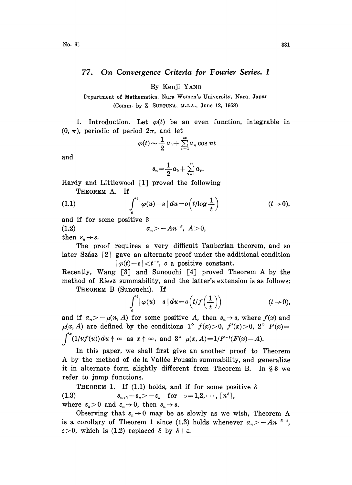## 77. On Convergence Criteria for Fourier Series. <sup>I</sup>

By Kenji YANO

Department of Mathematics, Nara Women's University, Nara, Japan (Comm. by Z. SUETUNA, M.J.A., June 12, 1958)

1. Introduction. Let  $\varphi(t)$  be an even function, integrable in  $(0, \pi)$ , periodic of period  $2\pi$ , and let

$$
\varphi(t) \sim \frac{1}{2} a_0 + \sum_{n=1}^{\infty} a_n \cos nt
$$

and

$$
s_n = \frac{1}{2}a_0 + \sum_{\nu=1}^n a_\nu.
$$

Hardy and Littlewood  $\lceil 1 \rceil$  proved the following THEOREM A. If

(1.1) 
$$
\int_0^t |\varphi(u)-s| du = o\left(t/\log\frac{1}{t}\right) \qquad (t\to 0),
$$

and if for some positive  $\delta$ 

(1.2)  $a_n > -An^{-\delta}, A>0,$ 

then  $s_n \rightarrow s$ .

The proof requires a very difficult Tauberian theorem, and so later Szász  $\lceil 2 \rceil$  gave an alternate proof under the additional condition  $| \varphi(t)-s| < t^{-c}$ , c a positive constant.

Recently, Wang [3] and Sunouehi [4] proved Theorem A by the method of Riesz summability, and the latter's extension is as follows: THEOREM B (Sunouehi). If

$$
\int_{0}^{t} |\varphi(u) - s| du = o(t/f(\frac{1}{t})) \qquad (t \to 0),
$$

and if  $a_n > -\mu(n, A)$  for some positive A, then  $s_n \to s$ , where  $f(x)$  and  $\mu(x, A)$  are defined by the conditions 1°  $f(x) > 0$ ,  $f'(x) > 0$ , 2°  $F(x) =$  $\int_0^x (1/u f(u)) du \uparrow \infty$  as  $x \uparrow \infty$ , and  $3^{\circ} \mu(x, A) = 1/F^{-1}(F(x)-A)$ .

In this paper, we shall first give an another proof to Theorem A by the method of de la Vallée Poussin summability, and generalize it in alternate form slightly different from Theorem B. In  $\S 3$  we refer to jump functions.

**THEOREM 1.** If (1.1) holds, and if for some positive  $\delta$ (1.3)  $s_{n+\nu}-s_n>-\varepsilon_n$  for  $\nu=1,2,\cdots, \lceil n^s \rceil$ , where  $\varepsilon_n>0$  and  $\varepsilon_n\to 0$ , then  $s_n\to s$ .

Observing that  $\varepsilon_n \to 0$  may be as slowly as we wish, Theorem A is a corollary of Theorem 1 since (1.3) holds whenever  $a_n > -A n^{-\delta-\epsilon}$ ,  $\varepsilon > 0$ , which is (1.2) replaced  $\delta$  by  $\delta + \varepsilon$ .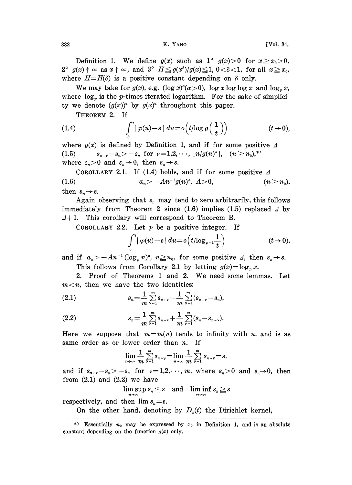332 K. YANO [Vol. 34,

Definition 1. We define  $g(x)$  such as  $1^{\circ}$   $g(x)>0$  for  $x\geq x_0>0$ ,  $2^{\circ}$  g(x)  $\uparrow \infty$  as  $x \uparrow \infty$ , and  $3^{\circ}$   $H \leq g(x^{\circ})/g(x) \leq 1$ ,  $0 < \delta < 1$ , for all  $x \geq x_0$ , where  $H=H(\delta)$  is a positive constant depending on  $\delta$  only.

We may take for  $g(x)$ , e.g.  $(\log x)^{\alpha} (\alpha >0)$ ,  $\log x \log \log x$  and  $\log_{p} x$ , where  $\log_p$  is the p-times iterated logarithm. For the sake of simplicity we denote  $(g(x))^{\alpha}$  by  $g(x)^{\alpha}$  throughout this paper.

THEOREM 2. If

(1.4) 
$$
\int_0^t |\varphi(u)-s| du = o(t/\log g\left(\frac{1}{t}\right)) \qquad (t\to 0),
$$

where  $g(x)$  is defined by Definition 1, and if for some positive  $\Delta$  $\overline{a}$ (1.5)  $s_{n+\nu}-s_n>-\varepsilon_n$  for  $\nu=1,2,\cdots, \lceil n/g(n)^{\Delta}\rceil$ ,  $(n\geq n_0)^{*}$ where  $\varepsilon_n>0$  and  $\varepsilon_n\to 0$ , then  $s_n\to s$ .

COROLLARY 2.1. If (1.4) holds, and if for some positive 
$$
\Delta
$$
  
(1.6)  $a_n > -An^{-1}g(n)^{\Delta}, A>0,$   $(n \ge n_0),$   
then  $s_n \rightarrow s$ .

Again observing that  $\varepsilon_n$  may tend to zero arbitrarily, this follows immediately from Theorem 2 since (1.6) implies (1.5) replaced  $\Delta$  by  $4+1$ . This corollary will correspond to Theorem B.

COROLLARY 2.2. Let  $p$  be a positive integer. If

$$
\int_0^t |\varphi(u)-s| du = o\Big(t/\log_{p+1}\frac{1}{t}\Big) \qquad \qquad (t\to 0),
$$

and if  $a_n > -An^{-1} (\log_p n)^4$ ,  $n \ge n_0$ , for some positive  $\Delta$ , then  $s_n \to s$ .<br>This follows from Corollary 2.1 by letting  $g(x) = \log_a x$ . This follows from Corollary 2.1 by letting  $g(x) = \log_x x$ .

2. Proof of Theorems <sup>1</sup> and 2. We need some lemmas. Let  $m$  < n, then we have the two identities:

(2.1) 
$$
s_n = \frac{1}{m} \sum_{\nu=1}^m s_{n+\nu} - \frac{1}{m} \sum_{\nu=1}^m (s_{n+\nu} - s_n),
$$

(2.2) 
$$
s_n = \frac{1}{m} \sum_{\nu=1}^m s_{n-\nu} + \frac{1}{m} \sum_{\nu=1}^m (s_n - s_{n-\nu}).
$$

Here we suppose that  $m=m(n)$  tends to infinity with n, and is as same order as or lower order than  $n$ . If

$$
\lim_{n\to\infty}\frac{1}{m}\sum_{\nu=1}^m s_{n+\nu}=\lim_{n\to\infty}\frac{1}{m}\sum_{\nu=1}^m s_{n-\nu}=s,
$$

and if  $s_{n+\nu}-s_n>-\varepsilon_n$  for  $\nu=1,2,\cdots,m$ , where  $\varepsilon_n>0$  and  $\varepsilon_n\to 0$ , then from  $(2.1)$  and  $(2.2)$  we have

 $\limsup_{n\to\infty} s_n \leq s$  and  $\liminf_{n\to\infty} s_n \geq s$ 

respectively, and then  $\lim s_n = s$ .

On the other hand, denoting by  $D_n(t)$  the Dirichlet kernel,

<sup>\*)</sup> Essentially  $n_0$  may be expressed by  $x_0$  in Definition 1, and is an absolute constant depending on the function  $g(x)$  only.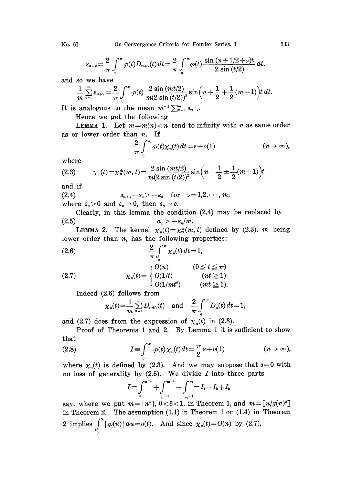No. 6] On Convergence Criteria for Fourier Series. <sup>I</sup> 333

$$
s_{n+\nu} = \frac{2}{\pi} \int_{0}^{\pi} \varphi(t) D_{n+\nu}(t) dt = \frac{2}{\pi} \int_{0}^{\pi} \varphi(t) \frac{\sin{(n+1/2+\nu)t}}{2 \sin{(t/2)}} dt,
$$

and so we have

$$
\frac{1}{m} \sum_{\nu=1}^{m} s_{n+\nu} = \frac{2}{\pi} \int_{0}^{\pi} \varphi(t) \frac{2 \sin (mt/2)}{m(2 \sin (t/2))^2} \sin \left(n + \frac{1}{2} + \frac{1}{2}(m+1)\right) t \, dt.
$$
\nanalogous to the mean  $m^{-1} \sum_{\nu=1}^{m} s_{n-\nu}$ .

\nHence we get the following

\nLEMMA 1. Let  $m = m(n) < n$  tend to infinity with n as same order.

It is analogous to the mean  $m^{-1} \sum_{\nu=1}^m s_{n-\nu}$ .<br>Hence we get the following

Hence we get the following

as or lower order than  $n$ . If

$$
\frac{2}{\pi}\int_{0}^{\pi}\varphi(t)\chi_{n}(t)\,dt = s + o(1) \qquad (n \to \infty),
$$

where

(2.3) 
$$
\chi_n(t) = \chi_n^{\pm}(m, t) = \frac{2 \sin (mt/2)}{m(2 \sin (t/2))^2} \sin \left(n + \frac{1}{2} \pm \frac{1}{2} (m+1)\right) t
$$

and if

(2.4) 
$$
s_{n+\nu}-s_n > -\varepsilon_n \text{ for } \nu=1,2,\cdots,m,
$$
where  $\varepsilon > 0$  and  $\varepsilon \to 0$ , then  $s \to s$ .

where  $\varepsilon_n > 0$  and  $\varepsilon_n \to 0$ , then  $s_n \to s$ .

Clearly, in this lemma the condition (2.4) may be replaced by  $a_n > -\varepsilon_n/m$ .

LEMMA 2. The kernel  $\chi_n(t)=\chi_n^+(m, t)$  defined by (2.3), m being lower order than  $n$ , has the following properties:

(2.6) 
$$
\frac{2}{\pi} \int_{0}^{\pi} \chi_{n}(t) dt = 1,
$$

(2.7) 
$$
\chi_n(t) = \begin{cases} O(n) & (0 \le t \le \pi) \\ O(1/t) & (nt \ge 1) \\ O(1/m t^2) & (mt \ge 1). \end{cases}
$$

Indeed (2.6) follows from

$$
\chi_n(t) = \frac{1}{m} \sum_{\nu=1}^m D_{n+\nu}(t)
$$
 and  $\frac{2}{\pi} \int_0^{\pi} D_n(t) dt = 1$ ,

and (2.7) does from the expression of  $\chi_n(t)$  in (2.3).

Proof of Theorems <sup>1</sup> and 2. By Lemma <sup>1</sup> it is sufficient to show that

(2.8) 
$$
I = \int_{0}^{\pi} \varphi(t) \chi_{n}(t) dt = \frac{\pi}{2} s + o(1) \qquad (n \to \infty),
$$

where  $\chi_n(t)$  is defined by (2.3). And we may suppose that  $s=0$  with no loss of generality by  $(2.6)$ . We divide I into three parts

$$
I = \int_0^{m^{-1}} + \int_{m^{-1}}^{m^{-1}} + \int_{m^{-1}}^{\infty} = I_1 + I_2 + I_3
$$

say, where we put  $m = [n^s]$ ,  $0 < \delta < 1$ , in Theorem 1, and  $m = [n/g(n)^s]$ in Theorem 2. The assumption (1.1) in Theorem <sup>1</sup> or (1.4) in Theorem 2 implies  $\int_0^t |\varphi(u)| du = o(t)$ . And since  $\chi_n(t) = O(n)$  by (2.7),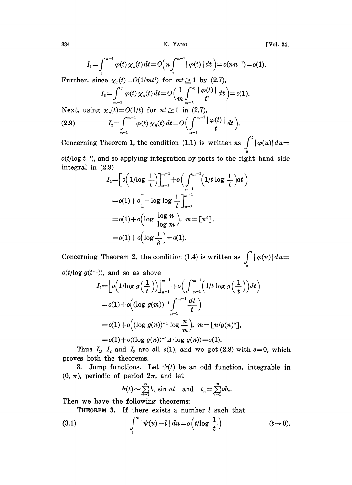334 K. YANO [Vol. 34,

$$
I_1 = \int_0^{n-1} \varphi(t) \, \chi_n(t) \, dt = O\Big(n \int_0^{n-1} |\varphi(t)| \, dt\Big) = o(nn^{-1}) = o(1).
$$

Further, since  $\chi_n(t)=O(1(mt^2))$  for  $mt \geq 1$  by (2.7),

$$
I_{3} = \int_{m^{-1}}^{\pi} \varphi(t) \, \chi_{n}(t) \, dt = O\left(\frac{1}{m} \int_{m^{-1}}^{\pi} \frac{|\varphi(t)|}{t^{2}} \, dt\right) = o(1).
$$

Next, using  $\chi_n(t) = O(1/t)$  for  $nt \ge 1$  in (2.7),  $I_2 = \int_{n-1}^{n-1} \varphi(t) \chi_n(t) dt = O\Big(\int_{n-1}^{n-1} \frac{|\varphi(t)|}{t} dt\Big).$  $(2.9)$ 

Concerning Theorem 1, the condition (1.1) is written as  $\int^{t} |\varphi(u)| du =$  $o(t/\log t^{-1})$ , and so applying integration by parts to the right hand side

integral in (2.9)

$$
I_2 = \left[ o\left(1/\log \frac{1}{t}\right) \right]_{n-1}^{m-1} + o\left(\int_{n-1}^{m-1} \left(1/t \log \frac{1}{t}\right) dt\right)
$$
  
= o(1) + o\left[-\log \log \frac{1}{t} \right]\_{n-1}^{m-1}  
= o(1) + o\left(\log \frac{\log n}{\log m}\right), m = [n<sup>s</sup>],  
= o(1) + o\left(\log \frac{1}{\delta}\right) = o(1).

Concerning Theorem 2, the condition (1.4) is written as  $\int_{0}^{t} |\varphi(u)| du =$  $o(t/\log g(t^{-1}))$ , and so as above

$$
I_2 = \left[ o\left(1/\log g\left(\frac{1}{t}\right)\right) \right]_{n-1}^{m-1} + o\left(\int_{n-1}^{m-1} \left(1/t \log g\left(\frac{1}{t}\right)\right) dt\right)
$$
  
= o(1) + o\left((\log g(m))^{-1} \int\_{n-1}^{m-1} \frac{dt}{t}\right)  
= o(1) + o\left((\log g(n))^{-1} \log \frac{n}{m}\right), \ m = \left[n/g(n)^2\right],  
= o(1) + o\left((\log g(n))^{-1} \frac{1}{2} \cdot \log g(n)\right) = o(1).

Thus  $I_1$ ,  $I_2$  and  $I_3$  are all  $o(1)$ , and we get (2.8) with  $s=0$ , which proves both the theorems.

3. Jump functions. Let  $\psi(t)$  be an odd function, integrable in  $(0, \pi)$ , periodic of period  $2\pi$ , and let

$$
\psi(t) \sim \sum_{n=1}^{\infty} b_n \sin nt \quad \text{and} \quad t_n = \sum_{\nu=1}^n \nu b_\nu.
$$

Then we have the following theorems:

THEOREM 3. If there exists a number  $l$  such that

(3.1) 
$$
\int_0^t |\psi(u)-l| du = o(t/\log \frac{1}{t}) \qquad (t \to 0),
$$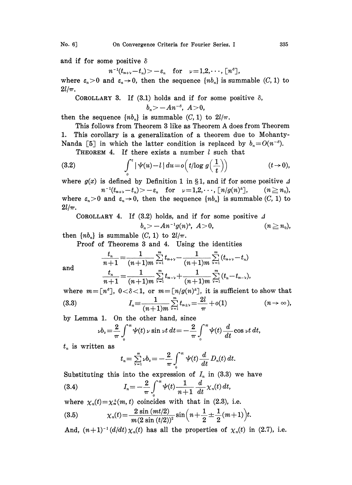and if for some positive  $\delta$ 

 $n^{-1}(t_{n+\nu}-t_n) > -\varepsilon_n$  for  $\nu=1,2,\cdots, \lceil n^s \rceil$ ,

where  $\varepsilon_n > 0$  and  $\varepsilon_n \to 0$ , then the sequence  $\{nb_n\}$  is summable  $(C, 1)$  to  $2l/\pi$ .

COROLLARY 3. If (3.1) holds and if for some positive  $\delta$ ,

$$
b_n>-An^{-\delta},\ A>0,
$$

then the sequence  $\{nb_n\}$  is summable  $(C, 1)$  to  $2l/\pi$ .

This follows from Theorem <sup>3</sup> like as Theorem A does from Theorem 1. This corollary is a generalization of a theorem due to Mohanty-Nanda [5] in which the latter condition is replaced by  $b_n=O(n^{-s})$ .

THEOREM 4. If there exists a number  $l$  such that

(3.2) 
$$
\int_{0}^{t} |\psi(u)-l| du = o(t/\log g\left(\frac{1}{t}\right)) \qquad (t \to 0),
$$

where  $g(x)$  is defined by Definition 1 in §1, and if for some positive  $\Delta$  $n^{-1}(t_{n+\nu}-t_n) > -\varepsilon_n$  for  $\nu=1,2,\cdots, \lceil n/g(n)^2 \rceil, \qquad (n \geq n_0),$ where  $\varepsilon_n > 0$  and  $\varepsilon_n \to 0$ , then the sequence  $\{nb_n\}$  is summable  $(C, 1)$  to  $2l/\pi$ .

COROLLARY 4. If (3.2) holds, and if for some positive 
$$
\Delta
$$
  
 $b_n > -An^{-1}g(n)^A$ ,  $A > 0$ ,  $(n \ge n_0)$ ,

then  $\{nb_n\}$  is summable  $(C, 1)$  to  $2l/\pi$ .

Proof of Theorems 3 and 4. Using the identities

$$
\frac{t_n}{n+1} = \frac{1}{(n+1)m} \sum_{\nu=1}^m t_{n+\nu} - \frac{1}{(n+1)m} \sum_{\nu=1}^m (t_{n+\nu} - t_n)
$$

$$
\frac{t_n}{n+1} = \frac{1}{(n+1)m} \sum_{\nu=1}^m t_{n-\nu} + \frac{1}{(n+1)m} \sum_{\nu=1}^m (t_n - t_{n-\nu}),
$$

where  $m = [n^s]$ ,  $0 < \delta < 1$ , or  $m = [n/g(n)^{\Delta}]$ , it is sufficient to show that  $(n \rightarrow \infty)$ , (3.3)  $I_n \equiv \frac{1}{(n+1)m} \sum_{\nu=1}^m t_{n+\nu} = \frac{2l}{\pi} + o(1)$ 

by Lemma 1. On the other hand, since

$$
\nu b_{\nu} = \frac{2}{\pi} \int_{0}^{\pi} \psi(t) \nu \sin \nu t \, dt = -\frac{2}{\pi} \int_{0}^{\pi} \psi(t) \frac{d}{dt} \cos \nu t \, dt,
$$

 $t_n$  is written as

and

$$
t_n = \sum_{\nu=1}^n \nu b_\nu = -\frac{2}{\pi} \int_0^\pi \psi(t) \frac{d}{dt} D_n(t) dt.
$$

Substituting this into the expression of  $I_n$  in (3.3) we have  $I_n = -\frac{2}{\pi} \int_{0}^{\pi} \psi(t) \frac{1}{n+1} \frac{d}{dt} \chi_n(t) dt,$  $(3.4)$ 

where  $\chi_n(t)=\chi_n^+(m, t)$  coincides with that in (2.3), i.e.

(3.5) 
$$
\chi_n(t) = \frac{2 \sin (mt/2)}{m (2 \sin (t/2))^2} \sin \left(n + \frac{1}{2} \pm \frac{1}{2} (m+1)\right) t.
$$

And,  $(n+1)^{-1} (d/dt) \chi_n(t)$  has all the properties of  $\chi_n(t)$  in (2.7), i.e.